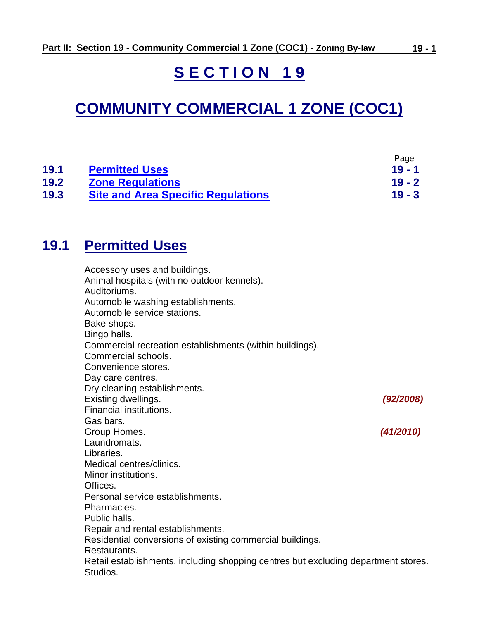# **S E C T I O N 1 9**

# **COMMUNITY COMMERCIAL 1 ZONE (COC1)**

|      |                                           | Page     |
|------|-------------------------------------------|----------|
| 19.1 | <b>Permitted Uses</b>                     | $19 - 1$ |
| 19.2 | <b>Zone Regulations</b>                   | $19 - 2$ |
| 19.3 | <b>Site and Area Specific Regulations</b> | $19 - 3$ |

# <span id="page-0-0"></span>**19.1 Permitted Uses**

| Accessory uses and buildings.                                                      |           |
|------------------------------------------------------------------------------------|-----------|
| Animal hospitals (with no outdoor kennels).                                        |           |
| Auditoriums.                                                                       |           |
| Automobile washing establishments.                                                 |           |
| Automobile service stations.                                                       |           |
| Bake shops.                                                                        |           |
| Bingo halls.                                                                       |           |
| Commercial recreation establishments (within buildings).                           |           |
| Commercial schools.                                                                |           |
| Convenience stores.                                                                |           |
| Day care centres.                                                                  |           |
| Dry cleaning establishments.                                                       |           |
| Existing dwellings.                                                                | (92/2008) |
| Financial institutions.                                                            |           |
| Gas bars.                                                                          |           |
| Group Homes.                                                                       | (41/2010) |
| Laundromats.                                                                       |           |
| Libraries.                                                                         |           |
| Medical centres/clinics.                                                           |           |
| Minor institutions.                                                                |           |
| Offices.                                                                           |           |
| Personal service establishments.                                                   |           |
| Pharmacies.                                                                        |           |
| Public halls.                                                                      |           |
| Repair and rental establishments.                                                  |           |
| Residential conversions of existing commercial buildings.                          |           |
| Restaurants.                                                                       |           |
| Retail establishments, including shopping centres but excluding department stores. |           |
| Studios.                                                                           |           |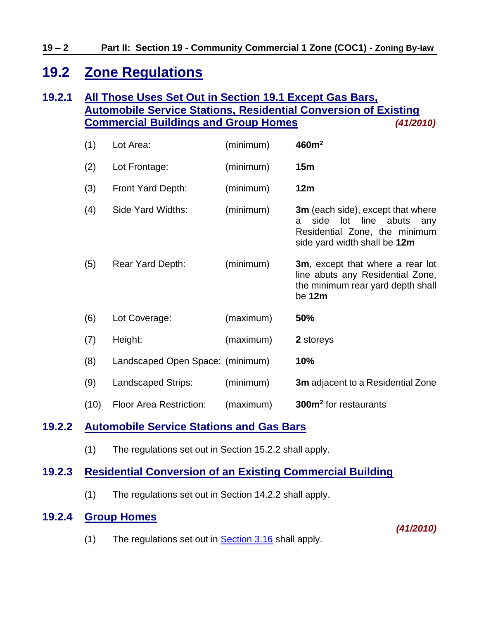# <span id="page-1-0"></span>**19.2 Zone Regulations**

### **19.2.1 All Those Uses Set Out in Section 19.1 Except Gas Bars, Automobile Service Stations, Residential Conversion of Existing Commercial Buildings and Group Homes** *(41/2010)*

| (1)  | Lot Area:                        | (minimum) | 460m <sup>2</sup>                                                                                                                         |
|------|----------------------------------|-----------|-------------------------------------------------------------------------------------------------------------------------------------------|
| (2)  | Lot Frontage:                    | (minimum) | 15 <sub>m</sub>                                                                                                                           |
| (3)  | Front Yard Depth:                | (minimum) | 12m                                                                                                                                       |
| (4)  | Side Yard Widths:                | (minimum) | <b>3m</b> (each side), except that where<br>side lot line abuts any<br>a<br>Residential Zone, the minimum<br>side yard width shall be 12m |
| (5)  | Rear Yard Depth:                 | (minimum) | 3m, except that where a rear lot<br>line abuts any Residential Zone,<br>the minimum rear yard depth shall<br>be 12m                       |
| (6)  | Lot Coverage:                    | (maximum) | <b>50%</b>                                                                                                                                |
| (7)  | Height:                          | (maximum) | 2 storeys                                                                                                                                 |
| (8)  | Landscaped Open Space: (minimum) |           | 10%                                                                                                                                       |
| (9)  | <b>Landscaped Strips:</b>        | (minimum) | <b>3m</b> adjacent to a Residential Zone                                                                                                  |
| (10) | <b>Floor Area Restriction:</b>   | (maximum) | 300m <sup>2</sup> for restaurants                                                                                                         |

### **19.2.2 Automobile Service Stations and Gas Bars**

(1) The regulations set out in Section 15.2.2 shall apply.

#### **19.2.3 Residential Conversion of an Existing Commercial Building**

(1) The regulations set out in Section 14.2.2 shall apply.

#### **19.2.4 Group Homes**

*(41/2010)*

(1) The regulations set out in [Section 3.16](ZB_Sec_03_General_Regulations.doc#GR_3_16_Group_Homes) shall apply.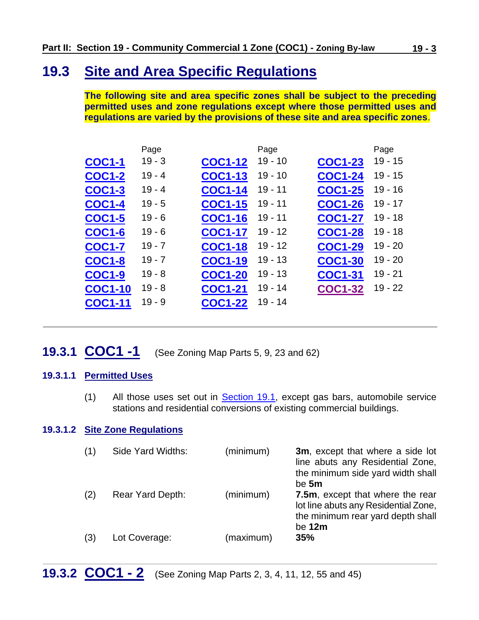# <span id="page-2-0"></span>**19.3 Site and Area Specific Regulations**

**The following site and area specific zones shall be subject to the preceding permitted uses and zone regulations except where those permitted uses and regulations are varied by the provisions of these site and area specific zones**.

|                | Page     |                | Page      |                | Page      |
|----------------|----------|----------------|-----------|----------------|-----------|
| <b>COC1-1</b>  | $19 - 3$ | <b>COC1-12</b> | $19 - 10$ | <b>COC1-23</b> | $19 - 15$ |
| <b>COC1-2</b>  | $19 - 4$ | <b>COC1-13</b> | $19 - 10$ | <b>COC1-24</b> | $19 - 15$ |
| <b>COC1-3</b>  | $19 - 4$ | <b>COC1-14</b> | $19 - 11$ | <b>COC1-25</b> | $19 - 16$ |
| <b>COC1-4</b>  | $19 - 5$ | <b>COC1-15</b> | $19 - 11$ | <b>COC1-26</b> | $19 - 17$ |
| <b>COC1-5</b>  | $19 - 6$ | <b>COC1-16</b> | $19 - 11$ | <b>COC1-27</b> | $19 - 18$ |
| <b>COC1-6</b>  | $19 - 6$ | <b>COC1-17</b> | $19 - 12$ | <b>COC1-28</b> | $19 - 18$ |
| <b>COC1-7</b>  | $19 - 7$ | <b>COC1-18</b> | $19 - 12$ | <b>COC1-29</b> | $19 - 20$ |
| <b>COC1-8</b>  | $19 - 7$ | <b>COC1-19</b> | $19 - 13$ | <b>COC1-30</b> | $19 - 20$ |
| <b>COC1-9</b>  | $19 - 8$ | <b>COC1-20</b> | $19 - 13$ | <b>COC1-31</b> | $19 - 21$ |
| <b>COC1-10</b> | $19 - 8$ | <b>COC1-21</b> | $19 - 14$ | <b>COC1-32</b> | $19 - 22$ |
| <b>COC1-11</b> | $19 - 9$ | <b>COC1-22</b> | $19 - 14$ |                |           |
|                |          |                |           |                |           |

<span id="page-2-1"></span>**19.3.1 COC1 -1** (See Zoning Map Parts 5, 9, 23 and 62)

#### **19.3.1.1 Permitted Uses**

(1) All those uses set out in [Section 19.1,](#page-0-0) except gas bars, automobile service stations and residential conversions of existing commercial buildings.

#### **19.3.1.2 Site Zone Regulations**

<span id="page-2-2"></span>

| (1) | Side Yard Widths:       | (minimum) | 3m, except that where a side lot<br>line abuts any Residential Zone,<br>the minimum side yard width shall<br>be 5m        |
|-----|-------------------------|-----------|---------------------------------------------------------------------------------------------------------------------------|
| (2) | <b>Rear Yard Depth:</b> | (minimum) | 7.5m, except that where the rear<br>lot line abuts any Residential Zone,<br>the minimum rear yard depth shall<br>be $12m$ |
| (3) | Lot Coverage:           | (maximum) | 35%                                                                                                                       |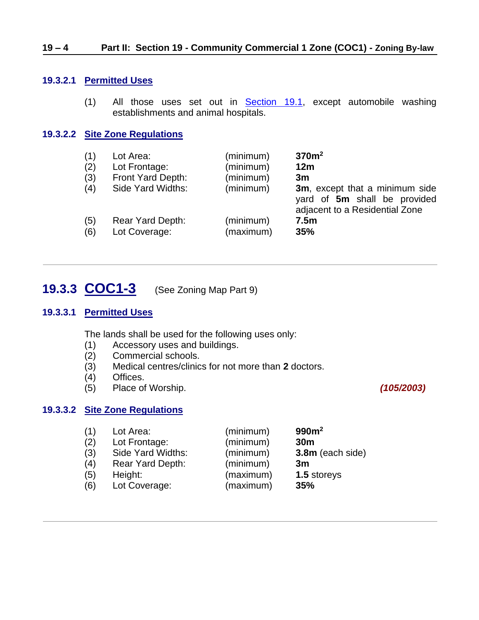#### **19.3.2.1 Permitted Uses**

(1) All those uses set out in [Section 19.1,](#page-0-0) except automobile washing establishments and animal hospitals.

#### **19.3.2.2 Site Zone Regulations**

| (1) | Lot Area:         | (minimum) | 370 <sup>m²</sup>                                                                                |
|-----|-------------------|-----------|--------------------------------------------------------------------------------------------------|
| (2) | Lot Frontage:     | (minimum) | 12m                                                                                              |
| (3) | Front Yard Depth: | (minimum) | 3m                                                                                               |
| (4) | Side Yard Widths: | (minimum) | 3m, except that a minimum side<br>yard of 5m shall be provided<br>adjacent to a Residential Zone |
| (5) | Rear Yard Depth:  | (minimum) | 7.5m                                                                                             |
| (6) | Lot Coverage:     | (maximum) | 35%                                                                                              |

### <span id="page-3-0"></span>**19.3.3 COC1-3** (See Zoning Map Part 9)

#### **19.3.3.1 Permitted Uses**

The lands shall be used for the following uses only:

- (1) Accessory uses and buildings.<br>(2) Commercial schools.
- Commercial schools.
- (3) Medical centres/clinics for not more than **2** doctors.
- (4) Offices.
- (5) Place of Worship. *(105/2003)*

#### **19.3.3.2 Site Zone Regulations**

| (1) | Lot Area:         | (minimum) | 990m <sup>2</sup> |
|-----|-------------------|-----------|-------------------|
| (2) | Lot Frontage:     | (minimum) | 30 <sub>m</sub>   |
| (3) | Side Yard Widths: | (minimum) | 3.8m (each side)  |
| (4) | Rear Yard Depth:  | (minimum) | 3m                |
| (5) | Height:           | (maximum) | 1.5 storeys       |
| (6) | Lot Coverage:     | (maximum) | 35%               |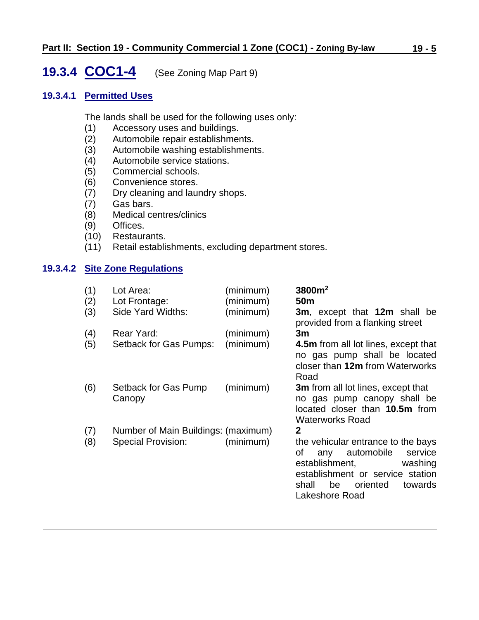# <span id="page-4-0"></span>**19.3.4 COC1-4** (See Zoning Map Part 9)

#### **19.3.4.1 Permitted Uses**

The lands shall be used for the following uses only:

- (1) Accessory uses and buildings.
- (2) Automobile repair establishments.
- (3) Automobile washing establishments.<br>(4) Automobile service stations.
- (4) Automobile service stations.<br>(5) Commercial schools.
- Commercial schools.
- (6) Convenience stores.
- (7) Dry cleaning and laundry shops.
- (7) Gas bars.
- (8) Medical centres/clinics
- (9) Offices.
- (10) Restaurants.
- (11) Retail establishments, excluding department stores.

### **19.3.4.2 Site Zone Regulations**

| Lot Area:                      | (minimum)     | 3800m <sup>2</sup><br>50 <sub>m</sub>                                                                                                                                                          |
|--------------------------------|---------------|------------------------------------------------------------------------------------------------------------------------------------------------------------------------------------------------|
| Side Yard Widths:              | (minimum)     | 3m, except that 12m shall be<br>provided from a flanking street                                                                                                                                |
| Rear Yard:                     | (minimum)     | 3m                                                                                                                                                                                             |
| Setback for Gas Pumps:         | (minimum)     | 4.5m from all lot lines, except that<br>no gas pump shall be located<br>closer than 12m from Waterworks<br>Road                                                                                |
| Setback for Gas Pump<br>Canopy | (minimum)     | <b>3m</b> from all lot lines, except that<br>no gas pump canopy shall be<br>located closer than 10.5m from<br><b>Waterworks Road</b>                                                           |
|                                |               | $\mathbf 2$                                                                                                                                                                                    |
| Special Provision:             | (minimum)     | the vehicular entrance to the bays<br>automobile<br>service<br>οf<br>any<br>establishment,<br>washing<br>establishment or service station<br>be oriented<br>shall<br>towards<br>Lakeshore Road |
|                                | Lot Frontage: | (minimum)<br>Number of Main Buildings: (maximum)                                                                                                                                               |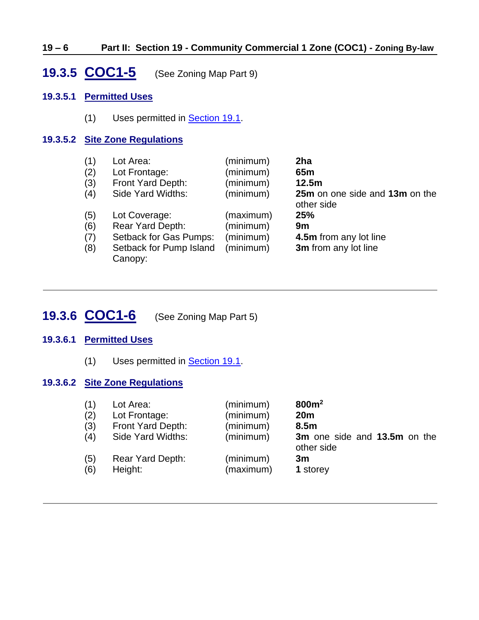#### **19 – 6 Part II: Section 19 - Community Commercial 1 Zone (COC1) - Zoning By-law**

### <span id="page-5-0"></span>**19.3.5 COC1-5** (See Zoning Map Part 9)

#### **19.3.5.1 Permitted Uses**

(1) Uses permitted in **Section 19.1**.

#### **19.3.5.2 Site Zone Regulations**

| (1) | Lot Area:               | (minimum) | 2ha                                          |
|-----|-------------------------|-----------|----------------------------------------------|
| (2) | Lot Frontage:           | (minimum) | 65 <sub>m</sub>                              |
| (3) | Front Yard Depth:       | (minimum) | 12.5m                                        |
| (4) | Side Yard Widths:       | (minimum) | 25m on one side and 13m on the<br>other side |
| (5) | Lot Coverage:           | (maximum) | 25%                                          |
| (6) | Rear Yard Depth:        | (minimum) | 9m                                           |
| (7) | Setback for Gas Pumps:  | (minimum) | 4.5m from any lot line                       |
| (8) | Setback for Pump Island | (minimum) | 3m from any lot line                         |
|     | Canopy:                 |           |                                              |

# <span id="page-5-1"></span>**19.3.6 COC1-6** (See Zoning Map Part 5)

#### **19.3.6.1 Permitted Uses**

(1) Uses permitted in [Section 19.1.](#page-0-0)

#### **19.3.6.2 Site Zone Regulations**

| (1) | Lot Area:         | (minimum) | 800m <sup>2</sup>                          |
|-----|-------------------|-----------|--------------------------------------------|
| (2) | Lot Frontage:     | (minimum) | 20 <sub>m</sub>                            |
| (3) | Front Yard Depth: | (minimum) | 8.5 <sub>m</sub>                           |
| (4) | Side Yard Widths: | (minimum) | 3m one side and 13.5m on the<br>other side |
| (5) | Rear Yard Depth:  | (minimum) | 3m                                         |
| (6) | Height:           | (maximum) | 1 storey                                   |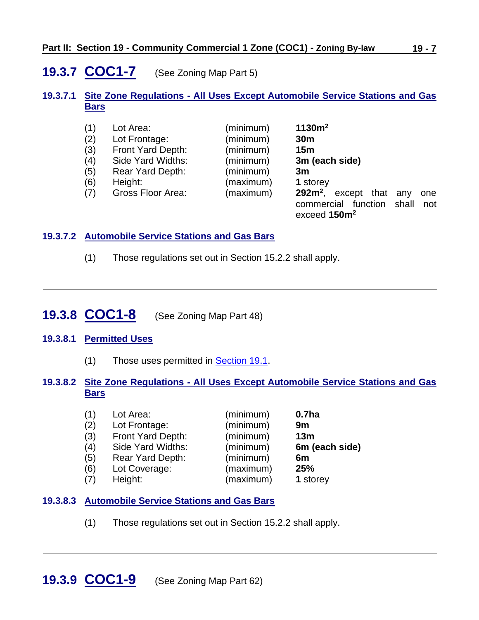## <span id="page-6-0"></span>**19.3.7 COC1-7** (See Zoning Map Part 5)

#### **19.3.7.1 Site Zone Regulations - All Uses Except Automobile Service Stations and Gas Bars**

| (1) | Lot Area:         | (minimum) | 1130m <sup>2</sup>                                             |
|-----|-------------------|-----------|----------------------------------------------------------------|
| (2) | Lot Frontage:     | (minimum) | 30 <sub>m</sub>                                                |
| (3) | Front Yard Depth: | (minimum) | 15 <sub>m</sub>                                                |
| (4) | Side Yard Widths: | (minimum) | 3m (each side)                                                 |
| (5) | Rear Yard Depth:  | (minimum) | 3m                                                             |
| (6) | Height:           | (maximum) | 1 storey                                                       |
| (7) | Gross Floor Area: | (maximum) | $292m^2$ , except that<br>any<br>one<br>commercial<br>function |
|     |                   |           | shall<br>not<br>exceed 150m <sup>2</sup>                       |

#### **19.3.7.2 Automobile Service Stations and Gas Bars**

(1) Those regulations set out in Section 15.2.2 shall apply.

# <span id="page-6-1"></span>**19.3.8 COC1-8** (See Zoning Map Part 48)

#### **19.3.8.1 Permitted Uses**

(1) Those uses permitted in **Section 19.1**.

#### **19.3.8.2 Site Zone Regulations - All Uses Except Automobile Service Stations and Gas Bars**

| (1) | Lot Area:                | (minimum) | 0.7 <sub>ha</sub> |
|-----|--------------------------|-----------|-------------------|
| (2) | Lot Frontage:            | (minimum) | 9m                |
| (3) | <b>Front Yard Depth:</b> | (minimum) | 13 <sub>m</sub>   |
| (4) | Side Yard Widths:        | (minimum) | 6m (each side)    |
| (5) | Rear Yard Depth:         | (minimum) | 6m                |
| (6) | Lot Coverage:            | (maximum) | 25%               |
| (7) | Height:                  | (maximum) | 1 storey          |

#### **19.3.8.3 Automobile Service Stations and Gas Bars**

<span id="page-6-2"></span>(1) Those regulations set out in Section 15.2.2 shall apply.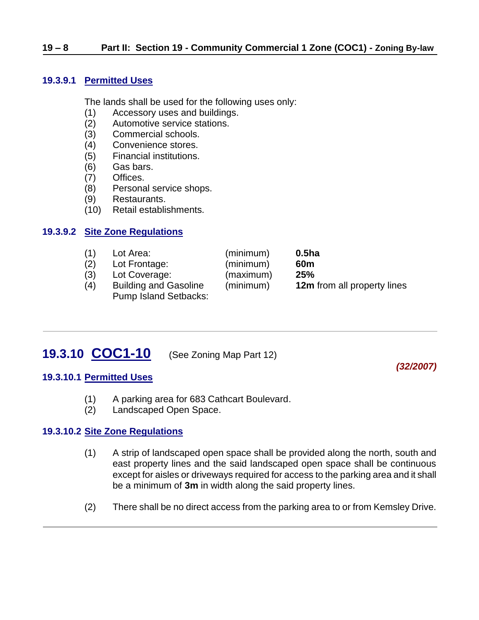#### **19.3.9.1 Permitted Uses**

The lands shall be used for the following uses only:

- (1) Accessory uses and buildings.
- (2) Automotive service stations.
- (3) Commercial schools.
- (4) Convenience stores.
- (5) Financial institutions.
- (6) Gas bars.
- (7) Offices.
- (8) Personal service shops.
- (9) Restaurants.
- (10) Retail establishments.

#### **19.3.9.2 Site Zone Regulations**

| (1) | Lot Area:                                                    | (minimum) | 0.5 <sub>ha</sub>                  |
|-----|--------------------------------------------------------------|-----------|------------------------------------|
| (2) | Lot Frontage:                                                | (minimum) | 60 <sub>m</sub>                    |
| (3) | Lot Coverage:                                                | (maximum) | 25%                                |
| (4) | <b>Building and Gasoline</b><br><b>Pump Island Setbacks:</b> | (minimum) | <b>12m</b> from all property lines |

# <span id="page-7-0"></span>**19.3.10 COC1-10** (See Zoning Map Part 12)

*(32/2007)*

#### **19.3.10.1 Permitted Uses**

- (1) A parking area for 683 Cathcart Boulevard.
- (2) Landscaped Open Space.

#### **19.3.10.2 Site Zone Regulations**

- (1) A strip of landscaped open space shall be provided along the north, south and east property lines and the said landscaped open space shall be continuous except for aisles or driveways required for access to the parking area and it shall be a minimum of **3m** in width along the said property lines.
- (2) There shall be no direct access from the parking area to or from Kemsley Drive.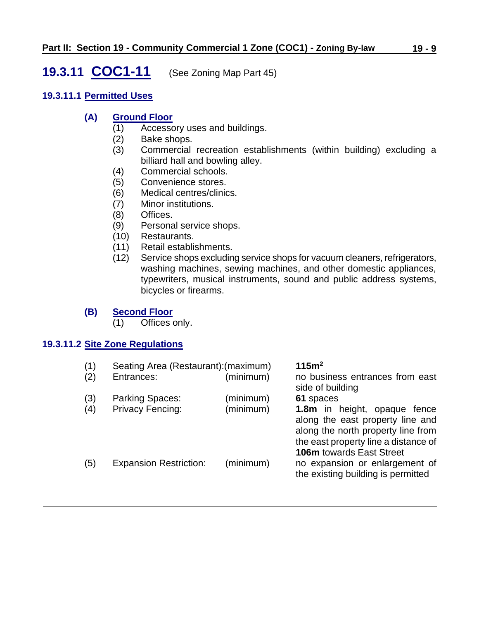### <span id="page-8-0"></span>**19.3.11 COC1-11** (See Zoning Map Part 45)

#### **19.3.11.1 Permitted Uses**

#### **(A) Ground Floor**

- (1) Accessory uses and buildings.
- (2) Bake shops.
- (3) Commercial recreation establishments (within building) excluding a billiard hall and bowling alley.
- (4) Commercial schools.
- (5) Convenience stores.
- (6) Medical centres/clinics.
- (7) Minor institutions.
- (8) Offices.
- (9) Personal service shops.
- (10) Restaurants.
- (11) Retail establishments.
- (12) Service shops excluding service shops for vacuum cleaners, refrigerators, washing machines, sewing machines, and other domestic appliances, typewriters, musical instruments, sound and public address systems, bicycles or firearms.

#### **(B) Second Floor**

(1) Offices only.

#### **19.3.11.2 Site Zone Regulations**

| (1) | Seating Area (Restaurant): (maximum) |           | 115m <sup>2</sup>                                                                                                                                                                 |
|-----|--------------------------------------|-----------|-----------------------------------------------------------------------------------------------------------------------------------------------------------------------------------|
| (2) | Entrances:                           | (minimum) | no business entrances from east<br>side of building                                                                                                                               |
| (3) | <b>Parking Spaces:</b>               | (minimum) | 61 spaces                                                                                                                                                                         |
| (4) | <b>Privacy Fencing:</b>              | (minimum) | 1.8m in height, opaque fence<br>along the east property line and<br>along the north property line from<br>the east property line a distance of<br><b>106m</b> towards East Street |
| (5) | <b>Expansion Restriction:</b>        | (minimum) | no expansion or enlargement of<br>the existing building is permitted                                                                                                              |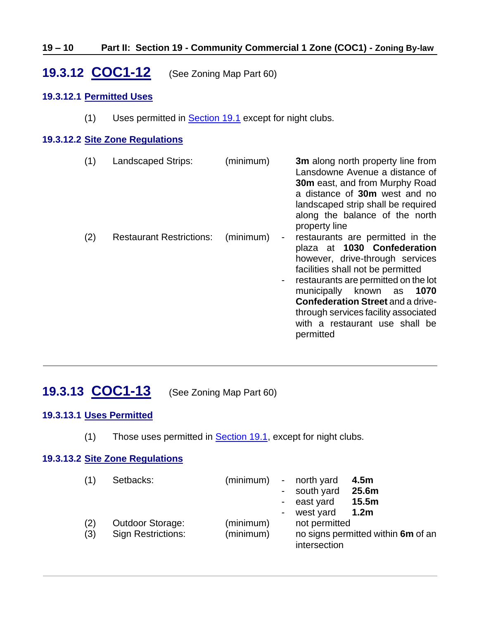#### **19 – 10 Part II: Section 19 - Community Commercial 1 Zone (COC1) - Zoning By-law**

# <span id="page-9-0"></span>**19.3.12 COC1-12** (See Zoning Map Part 60)

#### **19.3.12.1 Permitted Uses**

(1) Uses permitted in **Section 19.1** except for night clubs.

#### **19.3.12.2 Site Zone Regulations**

| (1) | Landscaped Strips:              | (minimum) | 3m along north property line from<br>Lansdowne Avenue a distance of<br><b>30m</b> east, and from Murphy Road<br>a distance of 30m west and no<br>landscaped strip shall be required<br>along the balance of the north<br>property line                                                                                                             |
|-----|---------------------------------|-----------|----------------------------------------------------------------------------------------------------------------------------------------------------------------------------------------------------------------------------------------------------------------------------------------------------------------------------------------------------|
| (2) | <b>Restaurant Restrictions:</b> | (minimum) | restaurants are permitted in the<br>plaza at 1030 Confederation<br>however, drive-through services<br>facilities shall not be permitted<br>restaurants are permitted on the lot<br>municipally known as<br>1070<br><b>Confederation Street and a drive-</b><br>through services facility associated<br>with a restaurant use shall be<br>permitted |

# <span id="page-9-1"></span>**19.3.13 COC1-13** (See Zoning Map Part 60)

#### **19.3.13.1 Uses Permitted**

(1) Those uses permitted in **Section 19.1**, except for night clubs.

#### **19.3.13.2 Site Zone Regulations**

| (1)        | Setbacks:                                            | (minimum)              | $\sim$ | - north yard<br>- south yard<br>east yard<br>west yard | 4.5m<br>25.6m<br>15.5m<br>1.2 <sub>m</sub> |
|------------|------------------------------------------------------|------------------------|--------|--------------------------------------------------------|--------------------------------------------|
| (2)<br>(3) | <b>Outdoor Storage:</b><br><b>Sign Restrictions:</b> | (minimum)<br>(minimum) |        | not permitted<br>intersection                          | no signs permitted within 6m of an         |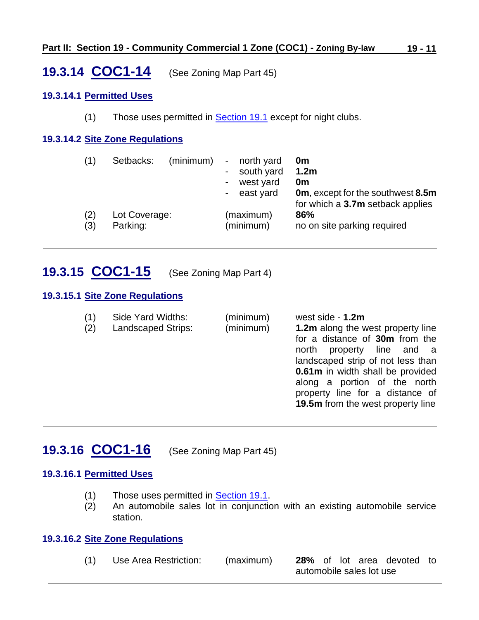### <span id="page-10-0"></span>**19.3.14 COC1-14** (See Zoning Map Part 45)

#### **19.3.14.1 Permitted Uses**

(1) Those uses permitted in [Section 19.1](#page-0-0) except for night clubs.

#### **19.3.14.2 Site Zone Regulations**

| (1)        | Setbacks:                 | (minimum) | $-$<br>$\sim$<br>$\overline{\phantom{a}}$ | north yard<br>south yard<br>west yard<br>east yard | 0m<br>1.2 <sub>m</sub><br>0m<br><b>0m</b> , except for the southwest 8.5m<br>for which a 3.7m setback applies |
|------------|---------------------------|-----------|-------------------------------------------|----------------------------------------------------|---------------------------------------------------------------------------------------------------------------|
| (2)<br>(3) | Lot Coverage:<br>Parking: |           |                                           | (maximum)<br>(minimum)                             | 86%<br>no on site parking required                                                                            |

### <span id="page-10-1"></span>**19.3.15 COC1-15** (See Zoning Map Part 4)

#### **19.3.15.1 Site Zone Regulations**

| (1)<br>(2) | Side Yard Widths:<br><b>Landscaped Strips:</b> | (minimum)<br>(minimum) | west side - 1.2m<br><b>1.2m</b> along the west property line<br>for a distance of 30m from the<br>north property line and a<br>landscaped strip of not less than<br>0.61m in width shall be provided<br>along a portion of the north<br>property line for a distance of |
|------------|------------------------------------------------|------------------------|-------------------------------------------------------------------------------------------------------------------------------------------------------------------------------------------------------------------------------------------------------------------------|
|            |                                                |                        | <b>19.5m</b> from the west property line                                                                                                                                                                                                                                |

### <span id="page-10-2"></span>**19.3.16 COC1-16** (See Zoning Map Part 45)

#### **19.3.16.1 Permitted Uses**

- (1) Those uses permitted in [Section 19.1.](#page-0-0)
- (2) An automobile sales lot in conjunction with an existing automobile service station.

#### **19.3.16.2 Site Zone Regulations**

(1) Use Area Restriction: (maximum) **28%** of lot area devoted to automobile sales lot use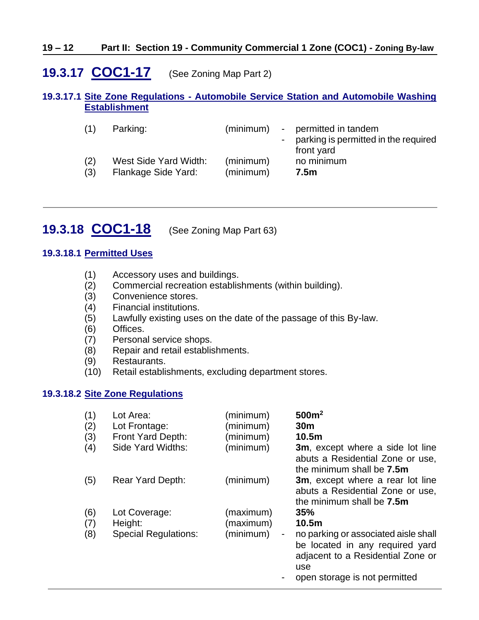#### **19 – 12 Part II: Section 19 - Community Commercial 1 Zone (COC1) - Zoning By-law**

### <span id="page-11-0"></span>**19.3.17 COC1-17** (See Zoning Map Part 2)

#### **19.3.17.1 Site Zone Regulations - Automobile Service Station and Automobile Washing Establishment**

| (1) | Parking:              | (minimum) | - permitted in tandem<br>- parking is permitted in the required<br>front yard |
|-----|-----------------------|-----------|-------------------------------------------------------------------------------|
| (2) | West Side Yard Width: | (minimum) | no minimum                                                                    |
| (3) | Flankage Side Yard:   | (minimum) | 7.5m                                                                          |

<span id="page-11-1"></span>**19.3.18 COC1-18** (See Zoning Map Part 63)

#### **19.3.18.1 Permitted Uses**

- (1) Accessory uses and buildings.
- (2) Commercial recreation establishments (within building).
- (3) Convenience stores.
- (4) Financial institutions.
- (5) Lawfully existing uses on the date of the passage of this By-law.
- (6) Offices.
- (7) Personal service shops.
- (8) Repair and retail establishments.
- (9) Restaurants.
- (10) Retail establishments, excluding department stores.

#### **19.3.18.2 Site Zone Regulations**

| (1)<br>(2)<br>(3) | Lot Area:<br>Lot Frontage:<br>Front Yard Depth: | (minimum)<br>(minimum)<br>(minimum)      | 500m <sup>2</sup><br>30 <sub>m</sub><br>10.5 <sub>m</sub>                                                                                                     |
|-------------------|-------------------------------------------------|------------------------------------------|---------------------------------------------------------------------------------------------------------------------------------------------------------------|
| (4)               | Side Yard Widths:                               | (minimum)                                | <b>3m</b> , except where a side lot line<br>abuts a Residential Zone or use,<br>the minimum shall be <b>7.5m</b>                                              |
| (5)               | <b>Rear Yard Depth:</b>                         | (minimum)                                | <b>3m</b> , except where a rear lot line<br>abuts a Residential Zone or use,<br>the minimum shall be <b>7.5m</b>                                              |
| (6)               | Lot Coverage:                                   | (maximum)                                | 35%                                                                                                                                                           |
| (7)<br>(8)        | Height:<br><b>Special Regulations:</b>          | (maximum)<br>(minimum)<br>$\blacksquare$ | 10.5m<br>no parking or associated aisle shall<br>be located in any required yard<br>adjacent to a Residential Zone or<br>use<br>open storage is not permitted |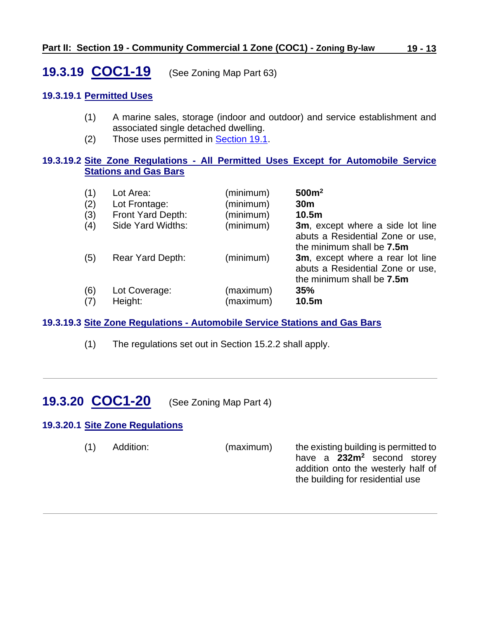<span id="page-12-0"></span>**19.3.19 COC1-19** (See Zoning Map Part 63)

#### **19.3.19.1 Permitted Uses**

- (1) A marine sales, storage (indoor and outdoor) and service establishment and associated single detached dwelling.
- (2) Those uses permitted in [Section 19.1.](#page-0-0)

#### **19.3.19.2 Site Zone Regulations - All Permitted Uses Except for Automobile Service Stations and Gas Bars**

| (1) | Lot Area:               | (minimum) | 500m <sup>2</sup>                                                                                         |
|-----|-------------------------|-----------|-----------------------------------------------------------------------------------------------------------|
| (2) | Lot Frontage:           | (minimum) | 30 <sub>m</sub>                                                                                           |
| (3) | Front Yard Depth:       | (minimum) | 10.5 <sub>m</sub>                                                                                         |
| (4) | Side Yard Widths:       | (minimum) | <b>3m</b> , except where a side lot line<br>abuts a Residential Zone or use,<br>the minimum shall be 7.5m |
| (5) | <b>Rear Yard Depth:</b> | (minimum) | 3m, except where a rear lot line<br>abuts a Residential Zone or use,<br>the minimum shall be 7.5m         |
| (6) | Lot Coverage:           | (maximum) | 35%                                                                                                       |
| (7) | Height:                 | (maximum) | 10.5m                                                                                                     |

#### **19.3.19.3 Site Zone Regulations - Automobile Service Stations and Gas Bars**

(1) The regulations set out in Section 15.2.2 shall apply.

# <span id="page-12-1"></span>**19.3.20 COC1-20** (See Zoning Map Part 4)

#### **19.3.20.1 Site Zone Regulations**

(1) Addition: (maximum) the existing building is permitted to

have a **232m<sup>2</sup>** second storey addition onto the westerly half of the building for residential use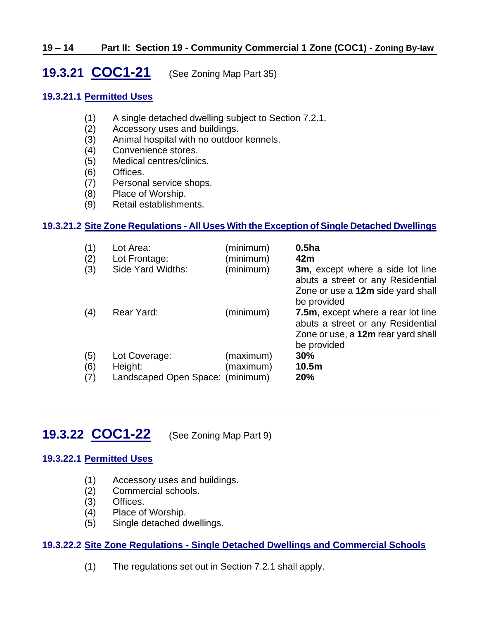#### **19 – 14 Part II: Section 19 - Community Commercial 1 Zone (COC1) - Zoning By-law**

<span id="page-13-0"></span>**19.3.21 COC1-21** (See Zoning Map Part 35)

#### **19.3.21.1 Permitted Uses**

- (1) A single detached dwelling subject to Section 7.2.1.
- (2) Accessory uses and buildings.
- (3) Animal hospital with no outdoor kennels.
- (4) Convenience stores.
- (5) Medical centres/clinics.
- (6) Offices.
- (7) Personal service shops.
- (8) Place of Worship.
- (9) Retail establishments.

#### **19.3.21.2 Site Zone Regulations - All Uses With the Exception of Single Detached Dwellings**

| (1)<br>(2)<br>(3) | Lot Area:<br>Lot Frontage:<br>Side Yard Widths:              | (minimum)<br>(minimum)<br>(minimum) | 0.5 <sub>ha</sub><br>42m<br><b>3m</b> , except where a side lot line<br>abuts a street or any Residential<br>Zone or use a 12m side yard shall<br>be provided |
|-------------------|--------------------------------------------------------------|-------------------------------------|---------------------------------------------------------------------------------------------------------------------------------------------------------------|
| (4)               | Rear Yard:                                                   | (minimum)                           | 7.5m, except where a rear lot line<br>abuts a street or any Residential<br>Zone or use, a 12m rear yard shall<br>be provided                                  |
| (5)<br>(6)<br>(7) | Lot Coverage:<br>Height:<br>Landscaped Open Space: (minimum) | (maximum)<br>(maximum)              | 30%<br>10.5m<br>20%                                                                                                                                           |

### <span id="page-13-1"></span>**19.3.22 COC1-22** (See Zoning Map Part 9)

#### **19.3.22.1 Permitted Uses**

- (1) Accessory uses and buildings.
- (2) Commercial schools.
- (3) Offices.
- (4) Place of Worship.
- (5) Single detached dwellings.

#### **19.3.22.2 Site Zone Regulations - Single Detached Dwellings and Commercial Schools**

(1) The regulations set out in Section 7.2.1 shall apply.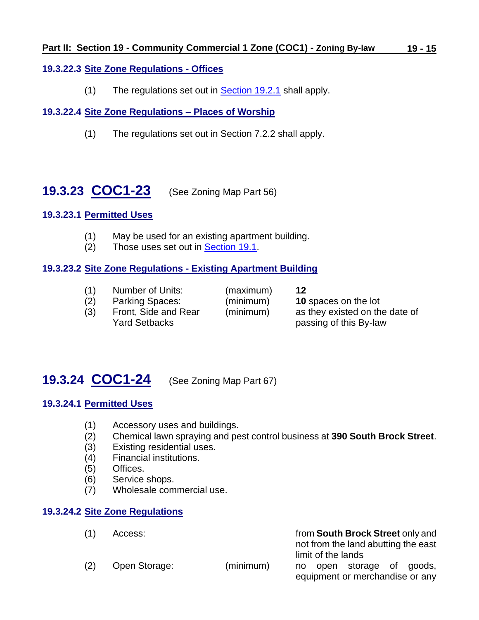#### **19.3.22.3 Site Zone Regulations - Offices**

(1) The regulations set out in **Section 19.2.1** shall apply.

### **19.3.22.4 Site Zone Regulations – Places of Worship**

(1) The regulations set out in Section 7.2.2 shall apply.

<span id="page-14-0"></span>**19.3.23 COC1-23** (See Zoning Map Part 56)

#### **19.3.23.1 Permitted Uses**

- (1) May be used for an existing apartment building.
- (2) Those uses set out in [Section 19.1.](#page-0-0)

#### **19.3.23.2 Site Zone Regulations - Existing Apartment Building**

- (1) Number of Units: (maximum) **12**
- (2) Parking Spaces: (minimum) **10** spaces on the lot
	-
	-
- 

(3) Front, Side and Rear (minimum) as they existed on the date of Yard Setbacks **passing of this By-law** 

# <span id="page-14-1"></span>**19.3.24 COC1-24** (See Zoning Map Part 67)

### **19.3.24.1 Permitted Uses**

- (1) Accessory uses and buildings.
- (2) Chemical lawn spraying and pest control business at **390 South Brock Street**.
- (3) Existing residential uses.
- (4) Financial institutions.
- (5) Offices.
- (6) Service shops.
- (7) Wholesale commercial use.

#### **19.3.24.2 Site Zone Regulations**

| (1) | Access:       |           | from South Brock Street only and                          |
|-----|---------------|-----------|-----------------------------------------------------------|
|     |               |           | not from the land abutting the east<br>limit of the lands |
| (2) | Open Storage: | (minimum) | open storage of goods,<br>no l                            |
|     |               |           | equipment or merchandise or any                           |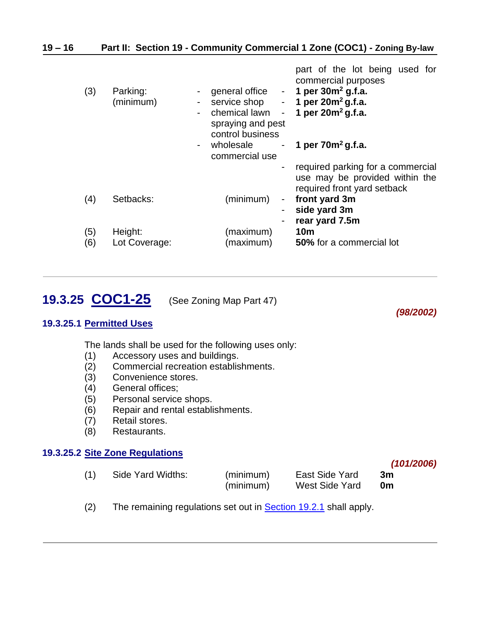| $19 - 16$ |     |                       | Part II: Section 19 - Community Commercial 1 Zone (COC1) - Zoning By-law                                                                                                                                                                                                                                                                                                                     |
|-----------|-----|-----------------------|----------------------------------------------------------------------------------------------------------------------------------------------------------------------------------------------------------------------------------------------------------------------------------------------------------------------------------------------------------------------------------------------|
|           | (3) | Parking:<br>(minimum) | part of the lot being used for<br>commercial purposes<br>1 per $30m^2$ g.f.a.<br>general office -<br>service shop<br>1 per $20m^2$ g.f.a.<br>$\blacksquare$<br>1 per $20m^2$ g.f.a.<br>chemical lawn<br>$\overline{\phantom{a}}$<br>$\overline{\phantom{a}}$<br>spraying and pest<br>control business<br>wholesale<br>1 per $70m^2$ g.f.a.<br>$\sim 100$<br>$\blacksquare$<br>commercial use |
|           | (4) | Setbacks:             | required parking for a commercial<br>use may be provided within the<br>required front yard setback<br>(minimum)<br>front yard 3m<br>$\blacksquare$                                                                                                                                                                                                                                           |
|           | (5) | Height:               | side yard 3m<br>rear yard 7.5m<br><b>10m</b><br>(maximum)                                                                                                                                                                                                                                                                                                                                    |
|           | (6) | Lot Coverage:         | (maximum)<br>50% for a commercial lot                                                                                                                                                                                                                                                                                                                                                        |

*(98/2002)*

*(101/2006)*

# <span id="page-15-0"></span>**19.3.25 COC1-25** (See Zoning Map Part 47)

#### **19.3.25.1 Permitted Uses**

The lands shall be used for the following uses only:

- (1) Accessory uses and buildings.
- (2) Commercial recreation establishments.
- (3) Convenience stores.
- (4) General offices;
- (5) Personal service shops.
- (6) Repair and rental establishments.
- (7) Retail stores.
- (8) Restaurants.

#### **19.3.25.2 Site Zone Regulations**

| (1) | Side Yard Widths: | (minimum)<br>(minimum) | East Side Yard<br>West Side Yard | -3m<br>0m |  |
|-----|-------------------|------------------------|----------------------------------|-----------|--|
|     |                   |                        |                                  |           |  |

(2) The remaining regulations set out in **Section 19.2.1** shall apply.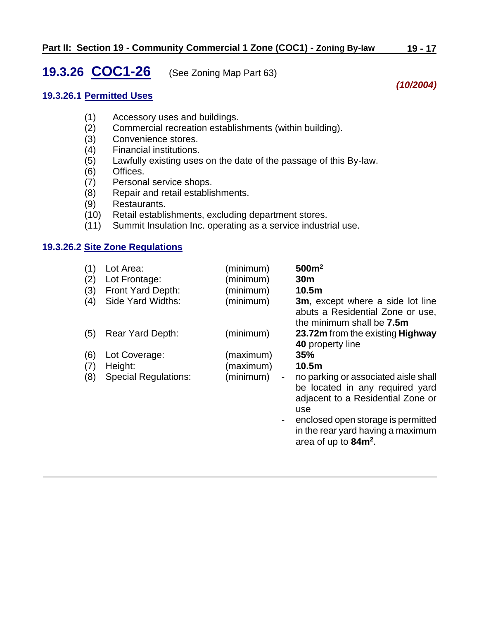### <span id="page-16-0"></span>**19.3.26 COC1-26** (See Zoning Map Part 63)

#### **19.3.26.1 Permitted Uses**

- (1) Accessory uses and buildings.
- (2) Commercial recreation establishments (within building).
- (3) Convenience stores.
- (4) Financial institutions.
- (5) Lawfully existing uses on the date of the passage of this By-law.
- (6) Offices.
- (7) Personal service shops.
- (8) Repair and retail establishments.
- 
- (9) Restaurants. Retail establishments, excluding department stores.
- (11) Summit Insulation Inc. operating as a service industrial use.

#### **19.3.26.2 Site Zone Regulations**

| (1) | Lot Area:                   | (minimum)           | 500m <sup>2</sup>                                                                                                   |
|-----|-----------------------------|---------------------|---------------------------------------------------------------------------------------------------------------------|
| (2) | Lot Frontage:               | (minimum)           | 30 <sub>m</sub>                                                                                                     |
| (3) | Front Yard Depth:           | (minimum)           | 10.5m                                                                                                               |
| (4) | Side Yard Widths:           | (minimum)           | <b>3m</b> , except where a side lot line<br>abuts a Residential Zone or use,<br>the minimum shall be 7.5m           |
| (5) | Rear Yard Depth:            | (minimum)           | 23.72m from the existing Highway<br>40 property line                                                                |
| (6) | Lot Coverage:               | (maximum)           | 35%                                                                                                                 |
| (7) | Height:                     | (maximum)           | 10.5m                                                                                                               |
| (8) | <b>Special Regulations:</b> | (minimum)<br>$\sim$ | no parking or associated aisle shall<br>be located in any required yard<br>adjacent to a Residential Zone or<br>use |
|     |                             | $\blacksquare$      | enclosed open storage is permitted<br>in the rear yard having a maximum<br>area of up to 84m <sup>2</sup> .         |

*(10/2004)*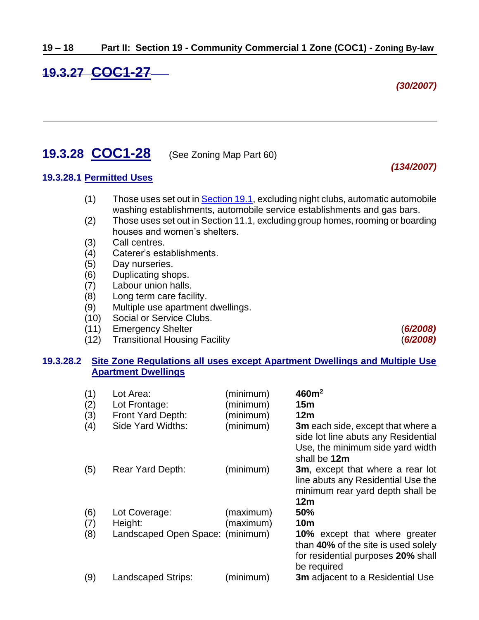# <span id="page-17-0"></span>**19.3.27 COC1-27**

*(30/2007)*

*(134/2007)*

### <span id="page-17-1"></span>**19.3.28 COC1-28** (See Zoning Map Part 60)

#### **19.3.28.1 Permitted Uses**

- (1) Those uses set out in [Section 19.1,](#page-0-0) excluding night clubs, automatic automobile washing establishments, automobile service establishments and gas bars.
- (2) Those uses set out in Section 11.1, excluding group homes, rooming or boarding houses and women's shelters.
- (3) Call centres.
- (4) Caterer's establishments.
- (5) Day nurseries.
- (6) Duplicating shops.
- (7) Labour union halls.
- (8) Long term care facility.
- (9) Multiple use apartment dwellings.
- (10) Social or Service Clubs.
- (11) Emergency Shelter (*6/2008)*
- (12) Transitional Housing Facility (*6/2008)*

#### **19.3.28.2 Site Zone Regulations all uses except Apartment Dwellings and Multiple Use Apartment Dwellings**

| (1)<br>(2)<br>(3)<br>(4) | Lot Area:<br>Lot Frontage:<br>Front Yard Depth:<br>Side Yard Widths: | (minimum)<br>(minimum)<br>(minimum)<br>(minimum) | 460m <sup>2</sup><br>15 <sub>m</sub><br>12 <sub>m</sub><br>3m each side, except that where a<br>side lot line abuts any Residential<br>Use, the minimum side yard width<br>shall be 12m |
|--------------------------|----------------------------------------------------------------------|--------------------------------------------------|-----------------------------------------------------------------------------------------------------------------------------------------------------------------------------------------|
| (5)                      | <b>Rear Yard Depth:</b>                                              | (minimum)                                        | <b>3m</b> , except that where a rear lot<br>line abuts any Residential Use the<br>minimum rear yard depth shall be<br>12m                                                               |
| (6)                      | Lot Coverage:                                                        | (maximum)                                        | 50%                                                                                                                                                                                     |
| (7)                      | Height:                                                              | (maximum)                                        | <b>10m</b>                                                                                                                                                                              |
| (8)                      | Landscaped Open Space: (minimum)                                     |                                                  | 10% except that where greater<br>than 40% of the site is used solely<br>for residential purposes 20% shall<br>be required                                                               |
| (9)                      | Landscaped Strips:                                                   | (minimum)                                        | <b>3m</b> adjacent to a Residential Use                                                                                                                                                 |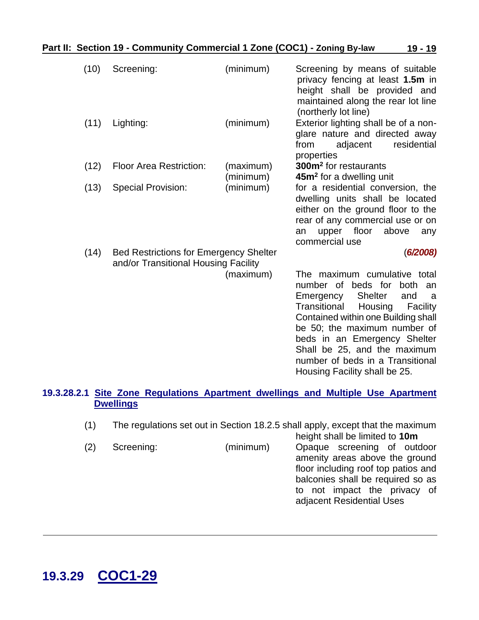| (10) | Screening:                                                                            | (minimum) | Screening by means of suitable<br>privacy fencing at least 1.5m in<br>height shall be provided and<br>maintained along the rear lot line<br>(northerly lot line)                                                                                                                                                                                            |
|------|---------------------------------------------------------------------------------------|-----------|-------------------------------------------------------------------------------------------------------------------------------------------------------------------------------------------------------------------------------------------------------------------------------------------------------------------------------------------------------------|
| (11) | Lighting:                                                                             | (minimum) | Exterior lighting shall be of a non-<br>glare nature and directed away<br>from<br>adjacent<br>residential<br>properties                                                                                                                                                                                                                                     |
| (12) | <b>Floor Area Restriction:</b>                                                        | (maximum) | 300m <sup>2</sup> for restaurants                                                                                                                                                                                                                                                                                                                           |
|      |                                                                                       | (minimum) | 45m <sup>2</sup> for a dwelling unit                                                                                                                                                                                                                                                                                                                        |
| (13) | <b>Special Provision:</b>                                                             | (minimum) | for a residential conversion, the<br>dwelling units shall be located<br>either on the ground floor to the<br>rear of any commercial use or on<br>floor<br>above<br>upper<br>an<br>any<br>commercial use                                                                                                                                                     |
| (14) | <b>Bed Restrictions for Emergency Shelter</b><br>and/or Transitional Housing Facility |           | (6/2008)                                                                                                                                                                                                                                                                                                                                                    |
|      |                                                                                       | (maximum) | The maximum cumulative total<br>number of beds for both<br>an<br><b>Shelter</b><br>Emergency<br>and<br>a<br>Transitional<br>Housing<br>Facility<br>Contained within one Building shall<br>be 50; the maximum number of<br>beds in an Emergency Shelter<br>Shall be 25, and the maximum<br>number of beds in a Transitional<br>Housing Facility shall be 25. |

#### **19.3.28.2.1 Site Zone Regulations Apartment dwellings and Multiple Use Apartment Dwellings**

(1) The regulations set out in Section 18.2.5 shall apply, except that the maximum height shall be limited to **10m**

| (2) | Screening: | (minimum) | Opaque screening of outdoor         |
|-----|------------|-----------|-------------------------------------|
|     |            |           | amenity areas above the ground      |
|     |            |           | floor including roof top patios and |
|     |            |           | balconies shall be required so as   |
|     |            |           | to not impact the privacy of        |
|     |            |           | adjacent Residential Uses           |
|     |            |           |                                     |

# <span id="page-18-0"></span>**19.3.29 COC1-29**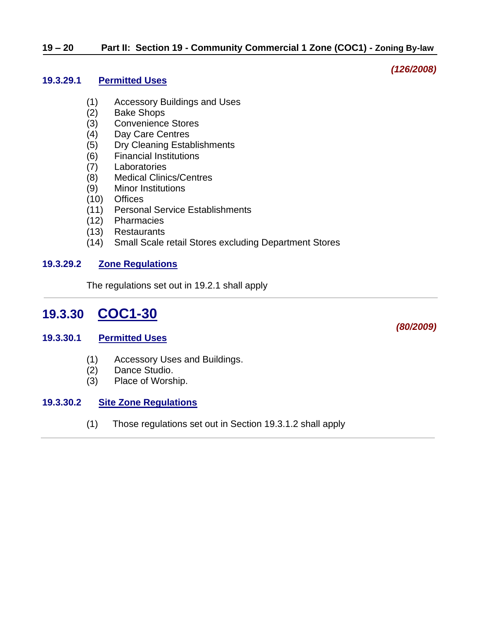#### **19.3.29.1 Permitted Uses**

- (1) Accessory Buildings and Uses
- (2) Bake Shops
- (3) Convenience Stores
- (4) Day Care Centres
- (5) Dry Cleaning Establishments
- (6) Financial Institutions
- (7) Laboratories
- (8) Medical Clinics/Centres
- (9) Minor Institutions
- (10) Offices
- (11) Personal Service Establishments
- (12) Pharmacies
- (13) Restaurants
- (14) Small Scale retail Stores excluding Department Stores

#### **19.3.29.2 Zone Regulations**

The regulations set out in 19.2.1 shall apply

# <span id="page-19-0"></span>**19.3.30 COC1-30**

#### **19.3.30.1 Permitted Uses**

- (1) Accessory Uses and Buildings.
- (2) Dance Studio.
- (3) Place of Worship.

#### **19.3.30.2 Site Zone Regulations**

(1) Those regulations set out in Section 19.3.1.2 shall apply

*(80/2009)*

*(126/2008)*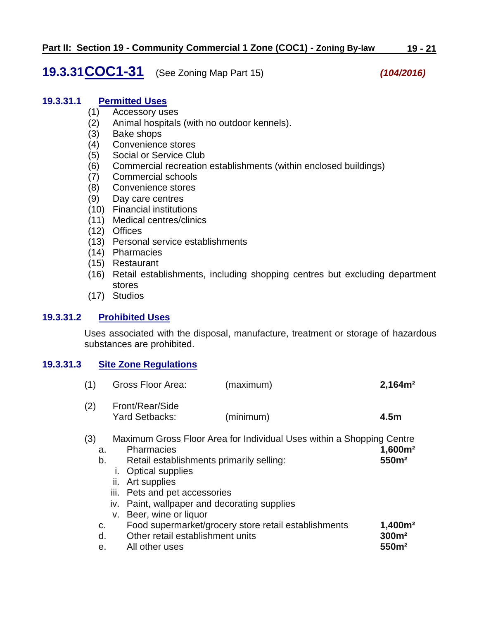# <span id="page-20-0"></span>**19.3.31COC1-31** (See Zoning Map Part 15) *(104/2016)*

#### **19.3.31.1 Permitted Uses**

- (1) Accessory uses
- (2) Animal hospitals (with no outdoor kennels).
- (3) Bake shops
- (4) Convenience stores
- (5) Social or Service Club
- (6) Commercial recreation establishments (within enclosed buildings)
- (7) Commercial schools
- (8) Convenience stores
- (9) Day care centres
- (10) Financial institutions
- (11) Medical centres/clinics
- (12) Offices
- (13) Personal service establishments
- (14) Pharmacies
- (15) Restaurant
- (16) Retail establishments, including shopping centres but excluding department stores
- (17) Studios

#### **19.3.31.2 Prohibited Uses**

Uses associated with the disposal, manufacture, treatment or storage of hazardous substances are prohibited.

#### **19.3.31.3 Site Zone Regulations**

| (1) | Gross Floor Area:                 | (maximum) | 2,164m <sup>2</sup> |
|-----|-----------------------------------|-----------|---------------------|
| (2) | Front/Rear/Side<br>Yard Setbacks: | (minimum) | 4.5m                |

#### (3) Maximum Gross Floor Area for Individual Uses within a Shopping Centre

| a. | <b>Pharmacies</b>                                    | 1,600m <sup>2</sup> |
|----|------------------------------------------------------|---------------------|
| b. | Retail establishments primarily selling:             | 550m <sup>2</sup>   |
|    | <b>Optical supplies</b>                              |                     |
|    | ii. Art supplies                                     |                     |
|    | iii. Pets and pet accessories                        |                     |
|    | iv. Paint, wallpaper and decorating supplies         |                     |
| v. | Beer, wine or liquor                                 |                     |
| c. | Food supermarket/grocery store retail establishments | 1,400m <sup>2</sup> |
| d. | Other retail establishment units                     | 300m <sup>2</sup>   |
| е. | All other uses                                       | 550m <sup>2</sup>   |